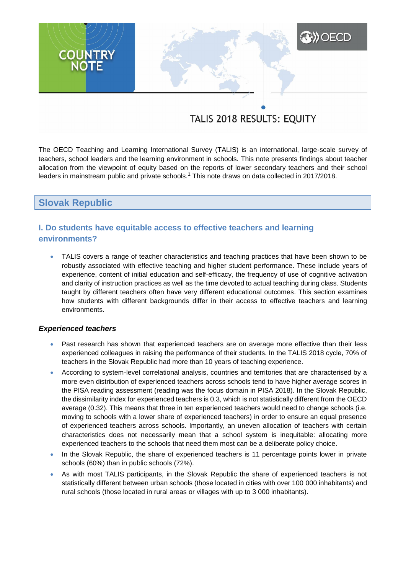# **XXX** OECD **COUNTRY**<br>NOTE

# TALIS 2018 RESULTS: EQUITY

The OECD Teaching and Learning International Survey (TALIS) is an international, large-scale survey of teachers, school leaders and the learning environment in schools. This note presents findings about teacher allocation from the viewpoint of equity based on the reports of lower secondary teachers and their school leaders in mainstream public and private schools.<sup>1</sup> This note draws on data collected in 2017/2018.

# **Slovak Republic**

# **I. Do students have equitable access to effective teachers and learning environments?**

 TALIS covers a range of teacher characteristics and teaching practices that have been shown to be robustly associated with effective teaching and higher student performance. These include years of experience, content of initial education and self-efficacy, the frequency of use of cognitive activation and clarity of instruction practices as well as the time devoted to actual teaching during class. Students taught by different teachers often have very different educational outcomes. This section examines how students with different backgrounds differ in their access to effective teachers and learning environments.

### *Experienced teachers*

- Past research has shown that experienced teachers are on average more effective than their less experienced colleagues in raising the performance of their students. In the TALIS 2018 cycle, 70% of teachers in the Slovak Republic had more than 10 years of teaching experience.
- According to system-level correlational analysis, countries and territories that are characterised by a more even distribution of experienced teachers across schools tend to have higher average scores in the PISA reading assessment (reading was the focus domain in PISA 2018). In the Slovak Republic, the dissimilarity index for experienced teachers is 0.3, which is not statistically different from the OECD average (0.32). This means that three in ten experienced teachers would need to change schools (i.e. moving to schools with a lower share of experienced teachers) in order to ensure an equal presence of experienced teachers across schools. Importantly, an uneven allocation of teachers with certain characteristics does not necessarily mean that a school system is inequitable: allocating more experienced teachers to the schools that need them most can be a deliberate policy choice.
- In the Slovak Republic, the share of experienced teachers is 11 percentage points lower in private schools (60%) than in public schools (72%).
- As with most TALIS participants, in the Slovak Republic the share of experienced teachers is not statistically different between urban schools (those located in cities with over 100 000 inhabitants) and rural schools (those located in rural areas or villages with up to 3 000 inhabitants).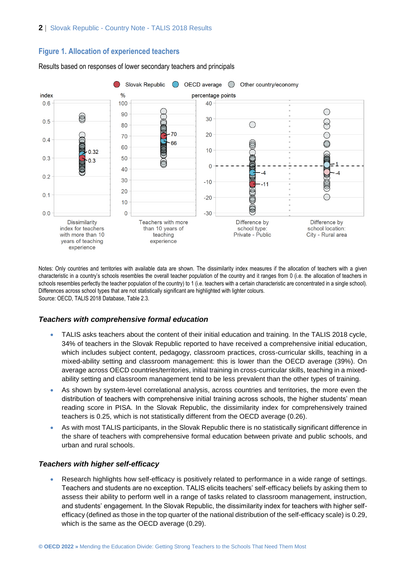## **Figure 1. Allocation of experienced teachers**



Results based on responses of lower secondary teachers and principals

Notes: Only countries and territories with available data are shown. The dissimilarity index measures if the allocation of teachers with a given characteristic in a country's schools resembles the overall teacher population of the country and it ranges from 0 (i.e. the allocation of teachers in schools resembles perfectly the teacher population of the country) to 1 (i.e. teachers with a certain characteristic are concentrated in a single school). Differences across school types that are not statistically significant are highlighted with lighter colours. Source: OECD, TALIS 2018 Database, Table 2.3.

### *Teachers with comprehensive formal education*

- TALIS asks teachers about the content of their initial education and training. In the TALIS 2018 cycle, 34% of teachers in the Slovak Republic reported to have received a comprehensive initial education, which includes subject content, pedagogy, classroom practices, cross-curricular skills, teaching in a mixed-ability setting and classroom management: this is lower than the OECD average (39%). On average across OECD countries/territories, initial training in cross-curricular skills, teaching in a mixedability setting and classroom management tend to be less prevalent than the other types of training.
- As shown by system-level correlational analysis, across countries and territories, the more even the distribution of teachers with comprehensive initial training across schools, the higher students' mean reading score in PISA. In the Slovak Republic, the dissimilarity index for comprehensively trained teachers is 0.25, which is not statistically different from the OECD average (0.26).
- As with most TALIS participants, in the Slovak Republic there is no statistically significant difference in the share of teachers with comprehensive formal education between private and public schools, and urban and rural schools.

### *Teachers with higher self-efficacy*

 Research highlights how self-efficacy is positively related to performance in a wide range of settings. Teachers and students are no exception. TALIS elicits teachers' self-efficacy beliefs by asking them to assess their ability to perform well in a range of tasks related to classroom management, instruction, and students' engagement. In the Slovak Republic, the dissimilarity index for teachers with higher selfefficacy (defined as those in the top quarter of the national distribution of the self-efficacy scale) is 0.29, which is the same as the OECD average (0.29).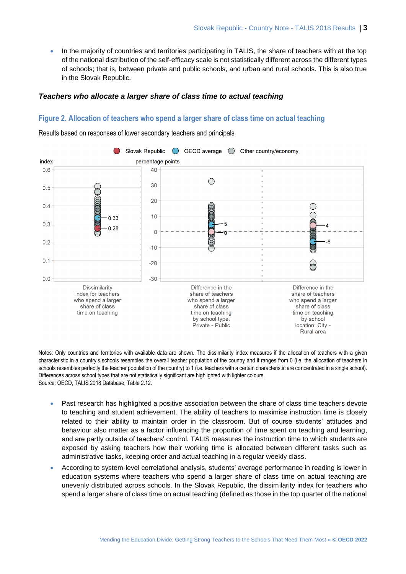In the majority of countries and territories participating in TALIS, the share of teachers with at the top of the national distribution of the self-efficacy scale is not statistically different across the different types of schools; that is, between private and public schools, and urban and rural schools. This is also true in the Slovak Republic.

### *Teachers who allocate a larger share of class time to actual teaching*

### **Figure 2. Allocation of teachers who spend a larger share of class time on actual teaching**

Results based on responses of lower secondary teachers and principals



Notes: Only countries and territories with available data are shown. The dissimilarity index measures if the allocation of teachers with a given characteristic in a country's schools resembles the overall teacher population of the country and it ranges from 0 (i.e. the allocation of teachers in schools resembles perfectly the teacher population of the country) to 1 (i.e. teachers with a certain characteristic are concentrated in a single school). Differences across school types that are not statistically significant are highlighted with lighter colours. Source: OECD, TALIS 2018 Database, Table 2.12.

- Past research has highlighted a positive association between the share of class time teachers devote to teaching and student achievement. The ability of teachers to maximise instruction time is closely related to their ability to maintain order in the classroom. But of course students' attitudes and behaviour also matter as a factor influencing the proportion of time spent on teaching and learning, and are partly outside of teachers' control. TALIS measures the instruction time to which students are exposed by asking teachers how their working time is allocated between different tasks such as administrative tasks, keeping order and actual teaching in a regular weekly class.
- According to system-level correlational analysis, students' average performance in reading is lower in education systems where teachers who spend a larger share of class time on actual teaching are unevenly distributed across schools. In the Slovak Republic, the dissimilarity index for teachers who spend a larger share of class time on actual teaching (defined as those in the top quarter of the national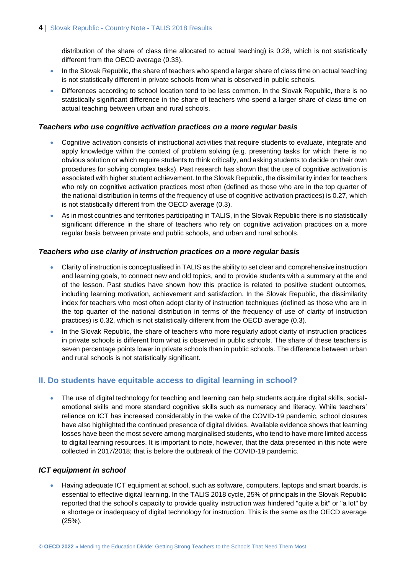distribution of the share of class time allocated to actual teaching) is 0.28, which is not statistically different from the OECD average (0.33).

- In the Slovak Republic, the share of teachers who spend a larger share of class time on actual teaching is not statistically different in private schools from what is observed in public schools.
- Differences according to school location tend to be less common. In the Slovak Republic, there is no statistically significant difference in the share of teachers who spend a larger share of class time on actual teaching between urban and rural schools.

### *Teachers who use cognitive activation practices on a more regular basis*

- Cognitive activation consists of instructional activities that require students to evaluate, integrate and apply knowledge within the context of problem solving (e.g. presenting tasks for which there is no obvious solution or which require students to think critically, and asking students to decide on their own procedures for solving complex tasks). Past research has shown that the use of cognitive activation is associated with higher student achievement. In the Slovak Republic, the dissimilarity index for teachers who rely on cognitive activation practices most often (defined as those who are in the top quarter of the national distribution in terms of the frequency of use of cognitive activation practices) is 0.27, which is not statistically different from the OECD average (0.3).
- As in most countries and territories participating in TALIS, in the Slovak Republic there is no statistically significant difference in the share of teachers who rely on cognitive activation practices on a more regular basis between private and public schools, and urban and rural schools.

### *Teachers who use clarity of instruction practices on a more regular basis*

- Clarity of instruction is conceptualised in TALIS as the ability to set clear and comprehensive instruction and learning goals, to connect new and old topics, and to provide students with a summary at the end of the lesson. Past studies have shown how this practice is related to positive student outcomes, including learning motivation, achievement and satisfaction. In the Slovak Republic, the dissimilarity index for teachers who most often adopt clarity of instruction techniques (defined as those who are in the top quarter of the national distribution in terms of the frequency of use of clarity of instruction practices) is 0.32, which is not statistically different from the OECD average (0.3).
- In the Slovak Republic, the share of teachers who more regularly adopt clarity of instruction practices in private schools is different from what is observed in public schools. The share of these teachers is seven percentage points lower in private schools than in public schools. The difference between urban and rural schools is not statistically significant.

# **II. Do students have equitable access to digital learning in school?**

• The use of digital technology for teaching and learning can help students acquire digital skills, socialemotional skills and more standard cognitive skills such as numeracy and literacy. While teachers' reliance on ICT has increased considerably in the wake of the COVID-19 pandemic, school closures have also highlighted the continued presence of digital divides. Available evidence shows that learning losses have been the most severe among marginalised students, who tend to have more limited access to digital learning resources. It is important to note, however, that the data presented in this note were collected in 2017/2018; that is before the outbreak of the COVID-19 pandemic.

### *ICT equipment in school*

 Having adequate ICT equipment at school, such as software, computers, laptops and smart boards, is essential to effective digital learning. In the TALIS 2018 cycle, 25% of principals in the Slovak Republic reported that the school's capacity to provide quality instruction was hindered "quite a bit" or "a lot" by a shortage or inadequacy of digital technology for instruction. This is the same as the OECD average (25%).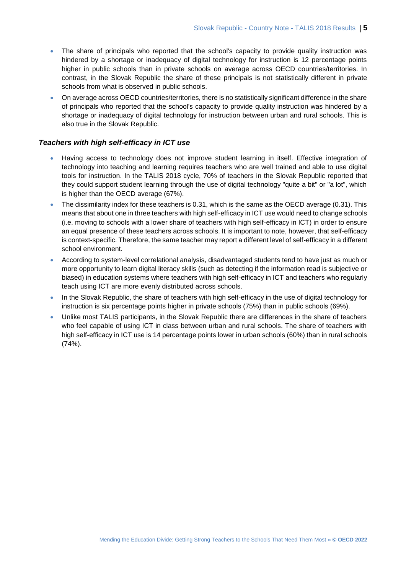- The share of principals who reported that the school's capacity to provide quality instruction was hindered by a shortage or inadequacy of digital technology for instruction is 12 percentage points higher in public schools than in private schools on average across OECD countries/territories. In contrast, in the Slovak Republic the share of these principals is not statistically different in private schools from what is observed in public schools.
- On average across OECD countries/territories, there is no statistically significant difference in the share of principals who reported that the school's capacity to provide quality instruction was hindered by a shortage or inadequacy of digital technology for instruction between urban and rural schools. This is also true in the Slovak Republic.

### *Teachers with high self-efficacy in ICT use*

- Having access to technology does not improve student learning in itself. Effective integration of technology into teaching and learning requires teachers who are well trained and able to use digital tools for instruction. In the TALIS 2018 cycle, 70% of teachers in the Slovak Republic reported that they could support student learning through the use of digital technology "quite a bit" or "a lot", which is higher than the OECD average (67%).
- The dissimilarity index for these teachers is 0.31, which is the same as the OECD average (0.31). This means that about one in three teachers with high self-efficacy in ICT use would need to change schools (i.e. moving to schools with a lower share of teachers with high self-efficacy in ICT) in order to ensure an equal presence of these teachers across schools. It is important to note, however, that self-efficacy is context-specific. Therefore, the same teacher may report a different level of self-efficacy in a different school environment.
- According to system-level correlational analysis, disadvantaged students tend to have just as much or more opportunity to learn digital literacy skills (such as detecting if the information read is subjective or biased) in education systems where teachers with high self-efficacy in ICT and teachers who regularly teach using ICT are more evenly distributed across schools.
- In the Slovak Republic, the share of teachers with high self-efficacy in the use of digital technology for instruction is six percentage points higher in private schools (75%) than in public schools (69%).
- Unlike most TALIS participants, in the Slovak Republic there are differences in the share of teachers who feel capable of using ICT in class between urban and rural schools. The share of teachers with high self-efficacy in ICT use is 14 percentage points lower in urban schools (60%) than in rural schools (74%).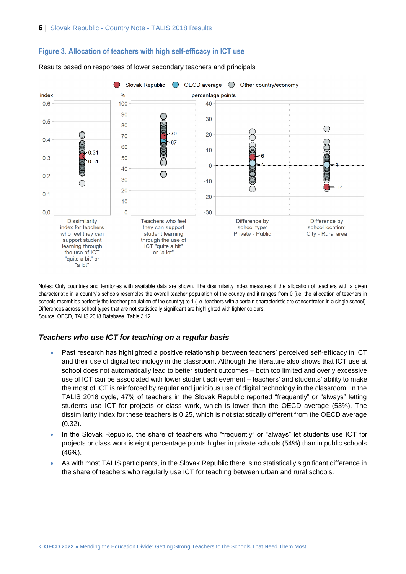

### **Figure 3. Allocation of teachers with high self-efficacy in ICT use**

Results based on responses of lower secondary teachers and principals

Notes: Only countries and territories with available data are shown. The dissimilarity index measures if the allocation of teachers with a given characteristic in a country's schools resembles the overall teacher population of the country and it ranges from 0 (i.e. the allocation of teachers in schools resembles perfectly the teacher population of the country) to 1 (i.e. teachers with a certain characteristic are concentrated in a single school). Differences across school types that are not statistically significant are highlighted with lighter colours. Source: OECD, TALIS 2018 Database, Table 3.12.

### *Teachers who use ICT for teaching on a regular basis*

- Past research has highlighted a positive relationship between teachers' perceived self-efficacy in ICT and their use of digital technology in the classroom. Although the literature also shows that ICT use at school does not automatically lead to better student outcomes – both too limited and overly excessive use of ICT can be associated with lower student achievement – teachers' and students' ability to make the most of ICT is reinforced by regular and judicious use of digital technology in the classroom. In the TALIS 2018 cycle, 47% of teachers in the Slovak Republic reported "frequently" or "always" letting students use ICT for projects or class work, which is lower than the OECD average (53%). The dissimilarity index for these teachers is 0.25, which is not statistically different from the OECD average (0.32).
- In the Slovak Republic, the share of teachers who "frequently" or "always" let students use ICT for projects or class work is eight percentage points higher in private schools (54%) than in public schools (46%).
- As with most TALIS participants, in the Slovak Republic there is no statistically significant difference in the share of teachers who regularly use ICT for teaching between urban and rural schools.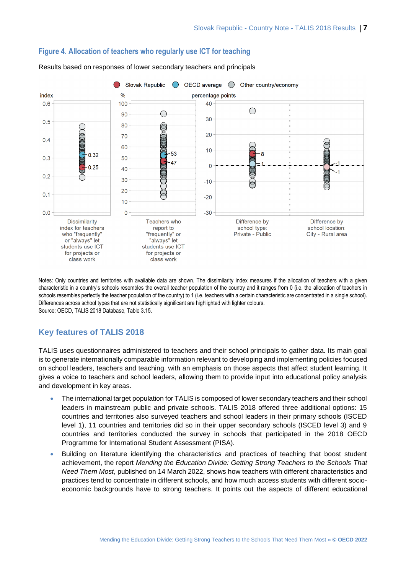

### **Figure 4. Allocation of teachers who regularly use ICT for teaching**

Results based on responses of lower secondary teachers and principals

Notes: Only countries and territories with available data are shown. The dissimilarity index measures if the allocation of teachers with a given characteristic in a country's schools resembles the overall teacher population of the country and it ranges from 0 (i.e. the allocation of teachers in schools resembles perfectly the teacher population of the country) to 1 (i.e. teachers with a certain characteristic are concentrated in a single school). Differences across school types that are not statistically significant are highlighted with lighter colours. Source: OECD, TALIS 2018 Database, Table 3.15.

# **Key features of TALIS 2018**

TALIS uses questionnaires administered to teachers and their school principals to gather data. Its main goal is to generate internationally comparable information relevant to developing and implementing policies focused on school leaders, teachers and teaching, with an emphasis on those aspects that affect student learning. It gives a voice to teachers and school leaders, allowing them to provide input into educational policy analysis and development in key areas.

- The international target population for TALIS is composed of lower secondary teachers and their school leaders in mainstream public and private schools. TALIS 2018 offered three additional options: 15 countries and territories also surveyed teachers and school leaders in their primary schools (ISCED level 1), 11 countries and territories did so in their upper secondary schools (ISCED level 3) and 9 countries and territories conducted the survey in schools that participated in the 2018 OECD Programme for International Student Assessment (PISA).
- Building on literature identifying the characteristics and practices of teaching that boost student achievement, the report *Mending the Education Divide: Getting Strong Teachers to the Schools That Need Them Most*, published on 14 March 2022, shows how teachers with different characteristics and practices tend to concentrate in different schools, and how much access students with different socioeconomic backgrounds have to strong teachers. It points out the aspects of different educational